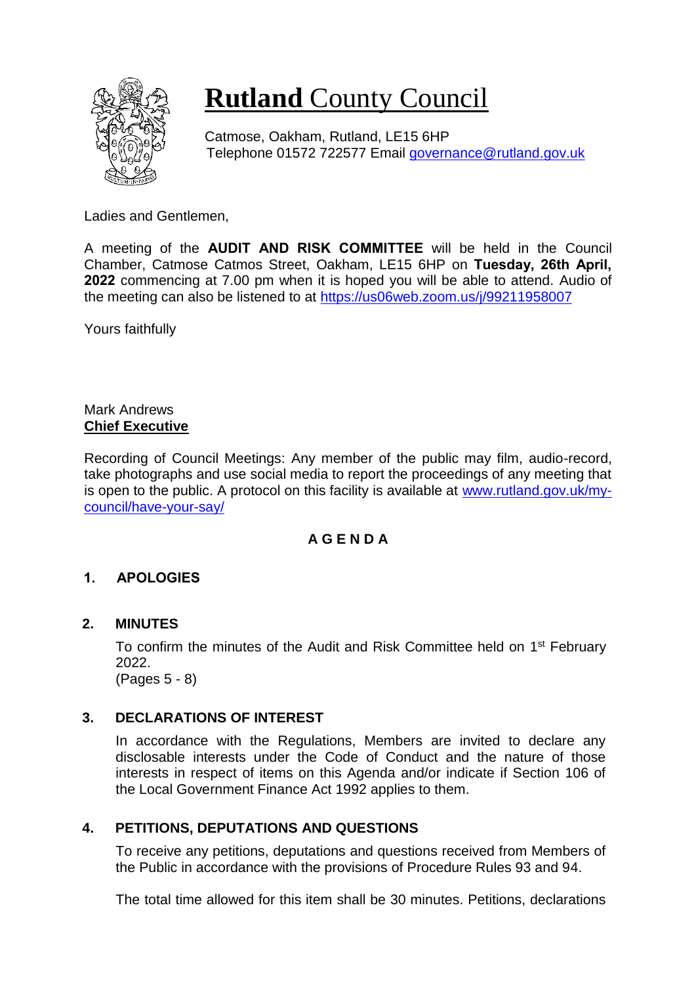

# **Rutland** County Council

Catmose, Oakham, Rutland, LE15 6HP Telephone 01572 722577 Email [governance@rutland.gov.uk](mailto:governance@rutland.gov.uk)

Ladies and Gentlemen,

A meeting of the **AUDIT AND RISK COMMITTEE** will be held in the Council Chamber, Catmose Catmos Street, Oakham, LE15 6HP on **Tuesday, 26th April, 2022** commencing at 7.00 pm when it is hoped you will be able to attend. Audio of the meeting can also be listened to at<https://us06web.zoom.us/j/99211958007>

Yours faithfully

#### Mark Andrews **Chief Executive**

Recording of Council Meetings: Any member of the public may film, audio-record, take photographs and use social media to report the proceedings of any meeting that is open to the public. A protocol on this facility is available at [www.rutland.gov.uk/my](http://www.rutland.gov.uk/my-council/have-your-say/)[council/have-your-say/](http://www.rutland.gov.uk/my-council/have-your-say/)

### **A G E N D A**

# **1. APOLOGIES**

### **2. MINUTES**

To confirm the minutes of the Audit and Risk Committee held on 1<sup>st</sup> February 2022. (Pages 5 - 8)

# **3. DECLARATIONS OF INTEREST**

In accordance with the Regulations, Members are invited to declare any disclosable interests under the Code of Conduct and the nature of those interests in respect of items on this Agenda and/or indicate if Section 106 of the Local Government Finance Act 1992 applies to them.

### **4. PETITIONS, DEPUTATIONS AND QUESTIONS**

To receive any petitions, deputations and questions received from Members of the Public in accordance with the provisions of Procedure Rules 93 and 94.

The total time allowed for this item shall be 30 minutes. Petitions, declarations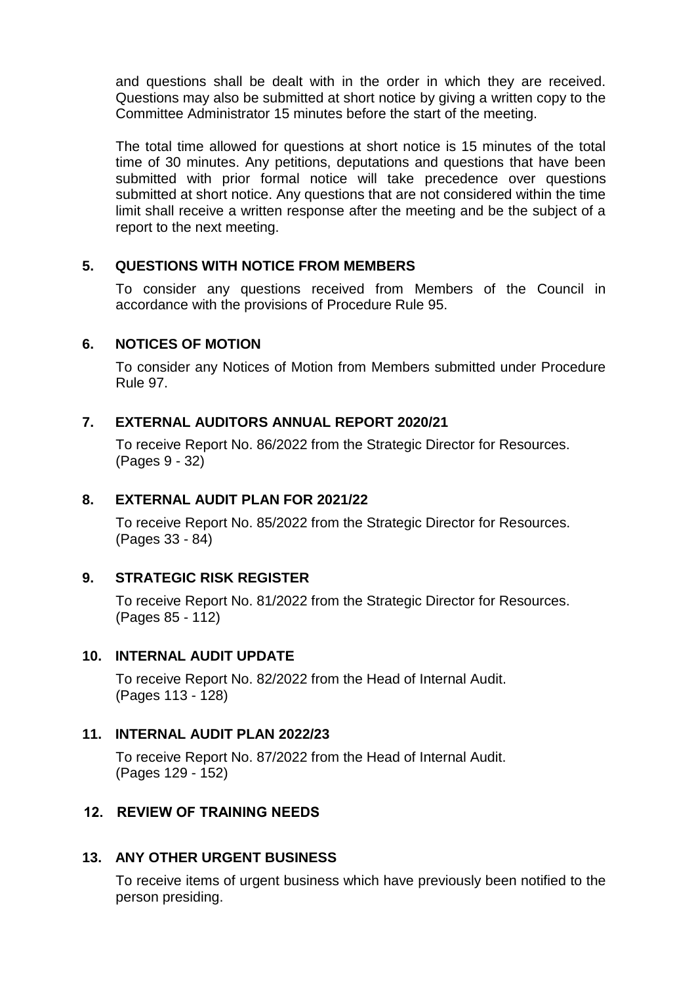and questions shall be dealt with in the order in which they are received. Questions may also be submitted at short notice by giving a written copy to the Committee Administrator 15 minutes before the start of the meeting.

The total time allowed for questions at short notice is 15 minutes of the total time of 30 minutes. Any petitions, deputations and questions that have been submitted with prior formal notice will take precedence over questions submitted at short notice. Any questions that are not considered within the time limit shall receive a written response after the meeting and be the subject of a report to the next meeting.

#### **5. QUESTIONS WITH NOTICE FROM MEMBERS**

To consider any questions received from Members of the Council in accordance with the provisions of Procedure Rule 95.

#### **6. NOTICES OF MOTION**

To consider any Notices of Motion from Members submitted under Procedure Rule 97.

#### **7. EXTERNAL AUDITORS ANNUAL REPORT 2020/21**

To receive Report No. 86/2022 from the Strategic Director for Resources. (Pages 9 - 32)

#### **8. EXTERNAL AUDIT PLAN FOR 2021/22**

To receive Report No. 85/2022 from the Strategic Director for Resources. (Pages 33 - 84)

### **9. STRATEGIC RISK REGISTER**

To receive Report No. 81/2022 from the Strategic Director for Resources. (Pages 85 - 112)

#### **10. INTERNAL AUDIT UPDATE**

To receive Report No. 82/2022 from the Head of Internal Audit. (Pages 113 - 128)

#### **11. INTERNAL AUDIT PLAN 2022/23**

To receive Report No. 87/2022 from the Head of Internal Audit. (Pages 129 - 152)

### **12. REVIEW OF TRAINING NEEDS**

#### **13. ANY OTHER URGENT BUSINESS**

To receive items of urgent business which have previously been notified to the person presiding.